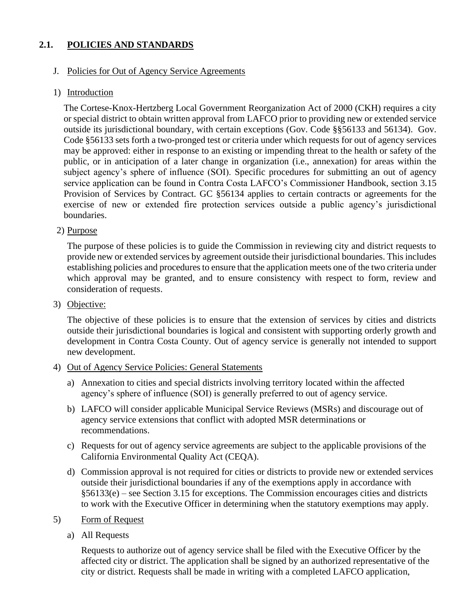# **2.1. POLICIES AND STANDARDS**

## J. Policies for Out of Agency Service Agreements

## 1) Introduction

The Cortese-Knox-Hertzberg Local Government Reorganization Act of 2000 (CKH) requires a city or special district to obtain written approval from LAFCO prior to providing new or extended service outside its jurisdictional boundary, with certain exceptions (Gov. Code §§56133 and 56134). Gov. Code §56133 sets forth a two-pronged test or criteria under which requests for out of agency services may be approved: either in response to an existing or impending threat to the health or safety of the public, or in anticipation of a later change in organization (i.e., annexation) for areas within the subject agency's sphere of influence (SOI). Specific procedures for submitting an out of agency service application can be found in Contra Costa LAFCO's Commissioner Handbook, section 3.15 Provision of Services by Contract. GC §56134 applies to certain contracts or agreements for the exercise of new or extended fire protection services outside a public agency's jurisdictional boundaries.

## 2) Purpose

The purpose of these policies is to guide the Commission in reviewing city and district requests to provide new or extended services by agreement outside their jurisdictional boundaries. This includes establishing policies and procedures to ensure that the application meets one of the two criteria under which approval may be granted, and to ensure consistency with respect to form, review and consideration of requests.

3) Objective:

The objective of these policies is to ensure that the extension of services by cities and districts outside their jurisdictional boundaries is logical and consistent with supporting orderly growth and development in Contra Costa County. Out of agency service is generally not intended to support new development.

### 4) Out of Agency Service Policies: General Statements

- a) Annexation to cities and special districts involving territory located within the affected agency's sphere of influence (SOI) is generally preferred to out of agency service.
- b) LAFCO will consider applicable Municipal Service Reviews (MSRs) and discourage out of agency service extensions that conflict with adopted MSR determinations or recommendations.
- c) Requests for out of agency service agreements are subject to the applicable provisions of the California Environmental Quality Act (CEQA).
- d) Commission approval is not required for cities or districts to provide new or extended services outside their jurisdictional boundaries if any of the exemptions apply in accordance with §56133(e) – see Section 3.15 for exceptions. The Commission encourages cities and districts to work with the Executive Officer in determining when the statutory exemptions may apply.
- 5) Form of Request
	- a) All Requests

Requests to authorize out of agency service shall be filed with the Executive Officer by the affected city or district. The application shall be signed by an authorized representative of the city or district. Requests shall be made in writing with a completed LAFCO application,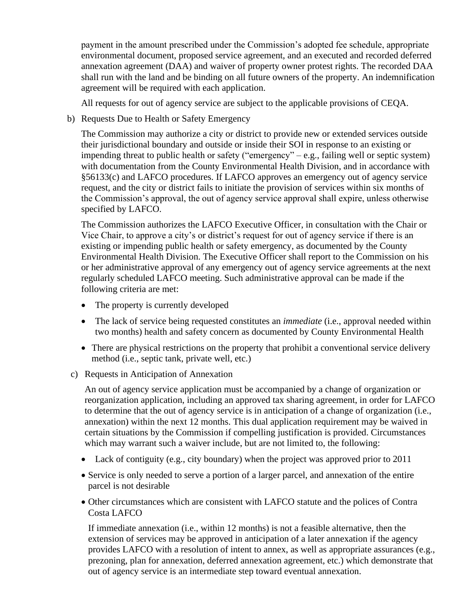payment in the amount prescribed under the Commission's adopted fee schedule, appropriate environmental document, proposed service agreement, and an executed and recorded deferred annexation agreement (DAA) and waiver of property owner protest rights. The recorded DAA shall run with the land and be binding on all future owners of the property. An indemnification agreement will be required with each application.

All requests for out of agency service are subject to the applicable provisions of CEQA.

b) Requests Due to Health or Safety Emergency

The Commission may authorize a city or district to provide new or extended services outside their jurisdictional boundary and outside or inside their SOI in response to an existing or impending threat to public health or safety ("emergency" – e.g., failing well or septic system) with documentation from the County Environmental Health Division, and in accordance with §56133(c) and LAFCO procedures. If LAFCO approves an emergency out of agency service request, and the city or district fails to initiate the provision of services within six months of the Commission's approval, the out of agency service approval shall expire, unless otherwise specified by LAFCO.

The Commission authorizes the LAFCO Executive Officer, in consultation with the Chair or Vice Chair, to approve a city's or district's request for out of agency service if there is an existing or impending public health or safety emergency, as documented by the County Environmental Health Division. The Executive Officer shall report to the Commission on his or her administrative approval of any emergency out of agency service agreements at the next regularly scheduled LAFCO meeting. Such administrative approval can be made if the following criteria are met:

- The property is currently developed
- The lack of service being requested constitutes an *immediate* (i.e., approval needed within two months) health and safety concern as documented by County Environmental Health
- There are physical restrictions on the property that prohibit a conventional service delivery method (i.e., septic tank, private well, etc.)
- c) Requests in Anticipation of Annexation

An out of agency service application must be accompanied by a change of organization or reorganization application, including an approved tax sharing agreement, in order for LAFCO to determine that the out of agency service is in anticipation of a change of organization (i.e., annexation) within the next 12 months. This dual application requirement may be waived in certain situations by the Commission if compelling justification is provided. Circumstances which may warrant such a waiver include, but are not limited to, the following:

- Lack of contiguity (e.g., city boundary) when the project was approved prior to 2011
- Service is only needed to serve a portion of a larger parcel, and annexation of the entire parcel is not desirable
- Other circumstances which are consistent with LAFCO statute and the polices of Contra Costa LAFCO

If immediate annexation (i.e., within 12 months) is not a feasible alternative, then the extension of services may be approved in anticipation of a later annexation if the agency provides LAFCO with a resolution of intent to annex, as well as appropriate assurances (e.g., prezoning, plan for annexation, deferred annexation agreement, etc.) which demonstrate that out of agency service is an intermediate step toward eventual annexation.